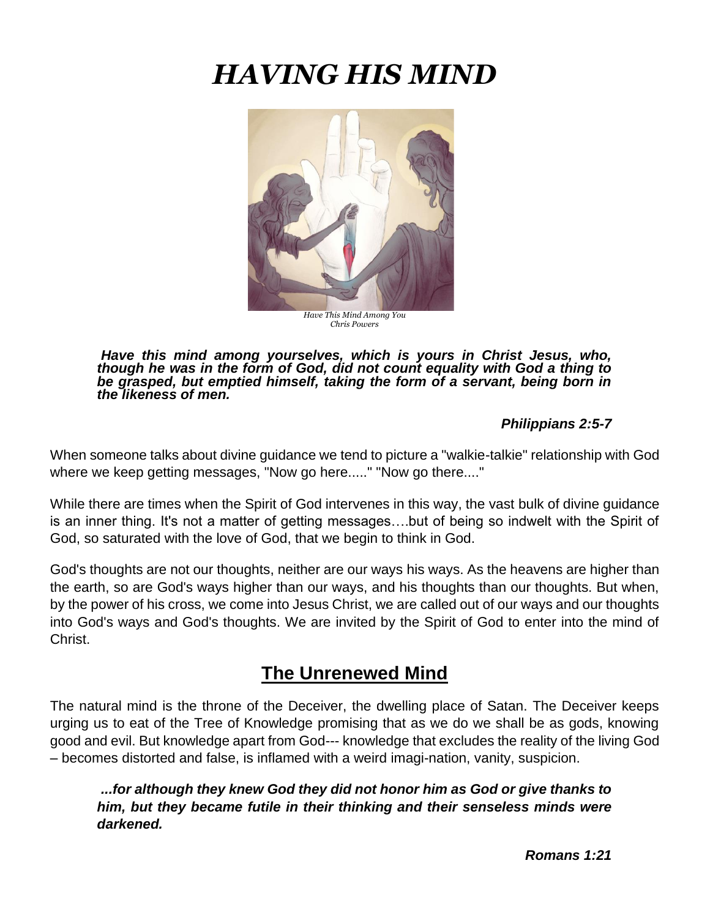# *HAVING HIS MIND*



*Have This Mind Among You Chris Powers*

*Have this mind among yourselves, which is yours in Christ Jesus, who, though he was in the form of God, did not count equality with God a thing to be grasped, but emptied himself, taking the form of a servant, being born in the likeness of men.*

#### *Philippians 2:5-7*

When someone talks about divine guidance we tend to picture a "walkie-talkie" relationship with God where we keep getting messages, "Now go here....." "Now go there...."

While there are times when the Spirit of God intervenes in this way, the vast bulk of divine guidance is an inner thing. It's not a matter of getting messages….but of being so indwelt with the Spirit of God, so saturated with the love of God, that we begin to think in God.

God's thoughts are not our thoughts, neither are our ways his ways. As the heavens are higher than the earth, so are God's ways higher than our ways, and his thoughts than our thoughts. But when, by the power of his cross, we come into Jesus Christ, we are called out of our ways and our thoughts into God's ways and God's thoughts. We are invited by the Spirit of God to enter into the mind of Christ.

## **The Unrenewed Mind**

The natural mind is the throne of the Deceiver, the dwelling place of Satan. The Deceiver keeps urging us to eat of the Tree of Knowledge promising that as we do we shall be as gods, knowing good and evil. But knowledge apart from God--- knowledge that excludes the reality of the living God – becomes distorted and false, is inflamed with a weird imagi-nation, vanity, suspicion.

*...for although they knew God they did not honor him as God or give thanks to him, but they became futile in their thinking and their senseless minds were darkened.*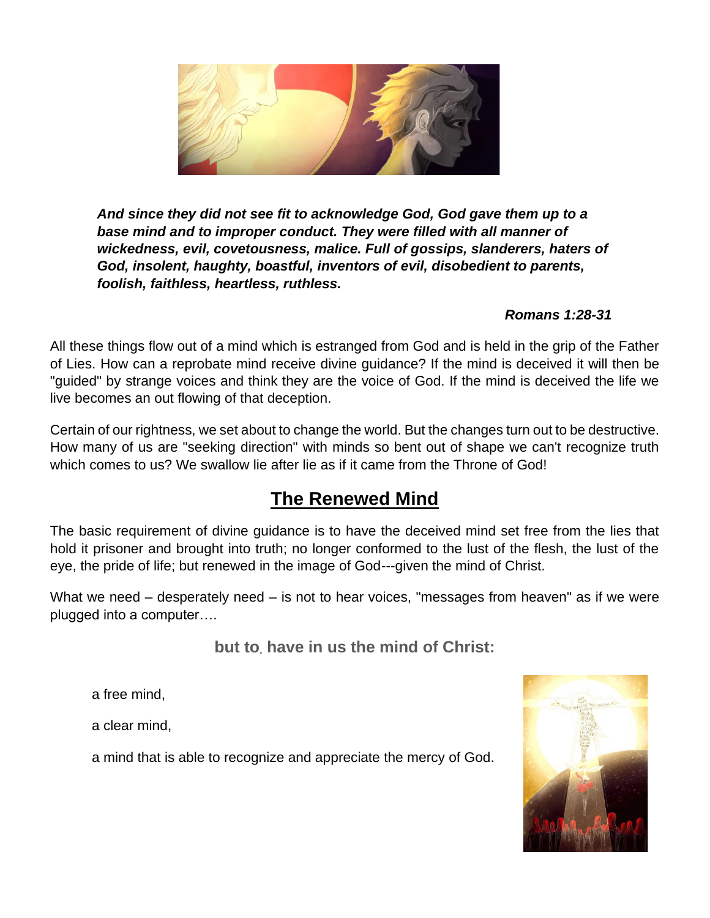

*And since they did not see fit to acknowledge God, God gave them up to a base mind and to improper conduct. They were filled with all manner of wickedness, evil, covetousness, malice. Full of gossips, slanderers, haters of God, insolent, haughty, boastful, inventors of evil, disobedient to parents, foolish, faithless, heartless, ruthless.*

#### *Romans 1:28-31*

All these things flow out of a mind which is estranged from God and is held in the grip of the Father of Lies. How can a reprobate mind receive divine guidance? If the mind is deceived it will then be "guided" by strange voices and think they are the voice of God. If the mind is deceived the life we live becomes an out flowing of that deception.

Certain of our rightness, we set about to change the world. But the changes turn out to be destructive. How many of us are "seeking direction" with minds so bent out of shape we can't recognize truth which comes to us? We swallow lie after lie as if it came from the Throne of God!

## **The Renewed Mind**

The basic requirement of divine guidance is to have the deceived mind set free from the lies that hold it prisoner and brought into truth; no longer conformed to the lust of the flesh, the lust of the eye, the pride of life; but renewed in the image of God---given the mind of Christ.

What we need – desperately need – is not to hear voices, "messages from heaven" as if we were plugged into a computer….

**but to. have in us the mind of Christ:**

a free mind,

a clear mind,

a mind that is able to recognize and appreciate the mercy of God.

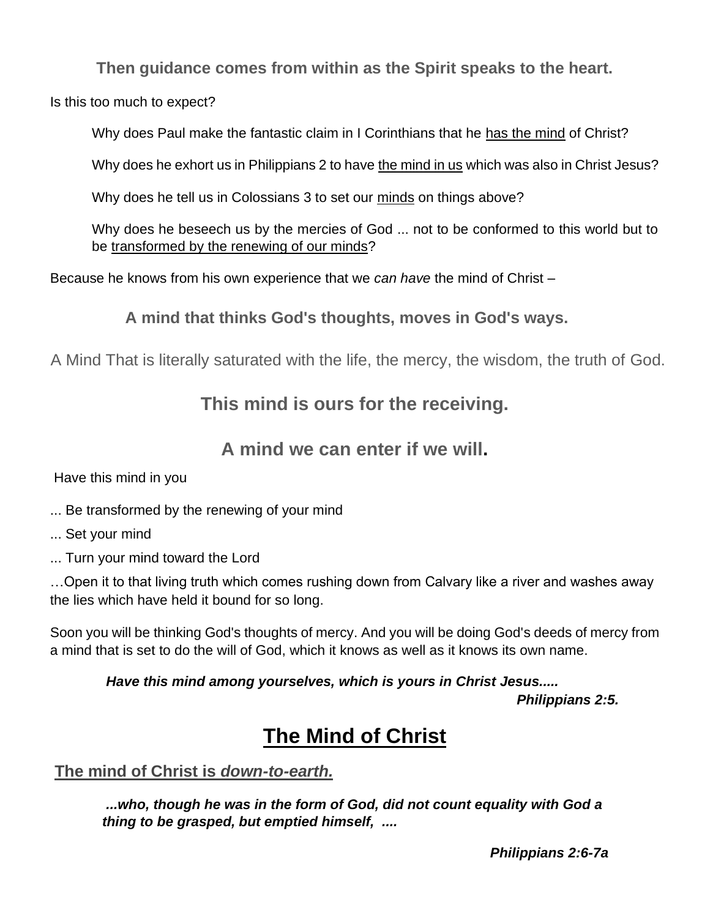**Then guidance comes from within as the Spirit speaks to the heart.**

Is this too much to expect?

Why does Paul make the fantastic claim in I Corinthians that he has the mind of Christ?

Why does he exhort us in Philippians 2 to have the mind in us which was also in Christ Jesus?

Why does he tell us in Colossians 3 to set our minds on things above?

Why does he beseech us by the mercies of God ... not to be conformed to this world but to be transformed by the renewing of our minds?

Because he knows from his own experience that we *can have* the mind of Christ –

**A mind that thinks God's thoughts, moves in God's ways.**

A Mind That is literally saturated with the life, the mercy, the wisdom, the truth of God.

## **This mind is ours for the receiving.**

## **A mind we can enter if we will.**

Have this mind in you

- ... Be transformed by the renewing of your mind
- ... Set your mind
- ... Turn your mind toward the Lord

…Open it to that living truth which comes rushing down from Calvary like a river and washes away the lies which have held it bound for so long.

Soon you will be thinking God's thoughts of mercy. And you will be doing God's deeds of mercy from a mind that is set to do the will of God, which it knows as well as it knows its own name.

*Have this mind among yourselves, which is yours in Christ Jesus.....* 

*Philippians 2:5.*

## **The Mind of Christ**

### **The mind of Christ is** *down-to-earth.*

*...who, though he was in the form of God, did not count equality with God a thing to be grasped, but emptied himself, ....* 

 *Philippians 2:6-7a*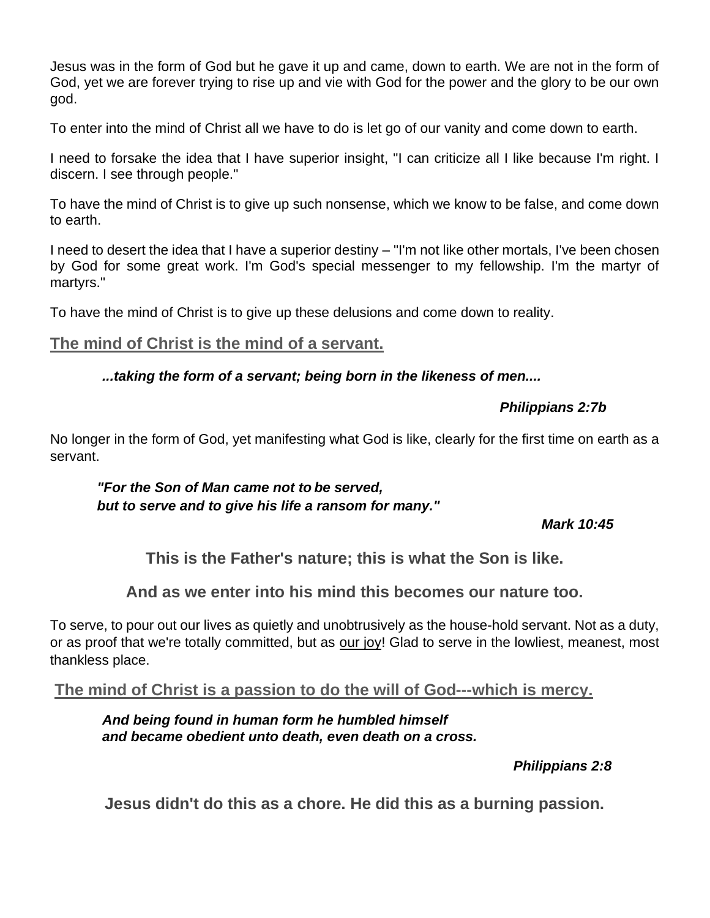Jesus was in the form of God but he gave it up and came, down to earth. We are not in the form of God, yet we are forever trying to rise up and vie with God for the power and the glory to be our own god.

To enter into the mind of Christ all we have to do is let go of our vanity and come down to earth.

I need to forsake the idea that I have superior insight, "I can criticize all I like because I'm right. I discern. I see through people."

To have the mind of Christ is to give up such nonsense, which we know to be false, and come down to earth.

I need to desert the idea that I have a superior destiny – "I'm not like other mortals, I've been chosen by God for some great work. I'm God's special messenger to my fellowship. I'm the martyr of martyrs."

To have the mind of Christ is to give up these delusions and come down to reality.

#### **The mind of Christ is the mind of a servant.**

#### *...taking the form of a servant; being born in the likeness of men....*

#### *Philippians 2:7b*

No longer in the form of God, yet manifesting what God is like, clearly for the first time on earth as a servant.

#### *"For the Son of Man came not to be served, but to serve and to give his life a ransom for many."*

#### *Mark 10:45*

**This is the Father's nature; this is what the Son is like.** 

**And as we enter into his mind this becomes our nature too.**

To serve, to pour out our lives as quietly and unobtrusively as the house-hold servant. Not as a duty, or as proof that we're totally committed, but as our joy! Glad to serve in the lowliest, meanest, most thankless place.

#### **The mind of Christ is a passion to do the will of God---which is mercy.**

*And being found in human form he humbled himself and became obedient unto death, even death on a cross.*

*Philippians 2:8*

**Jesus didn't do this as a chore. He did this as a burning passion.**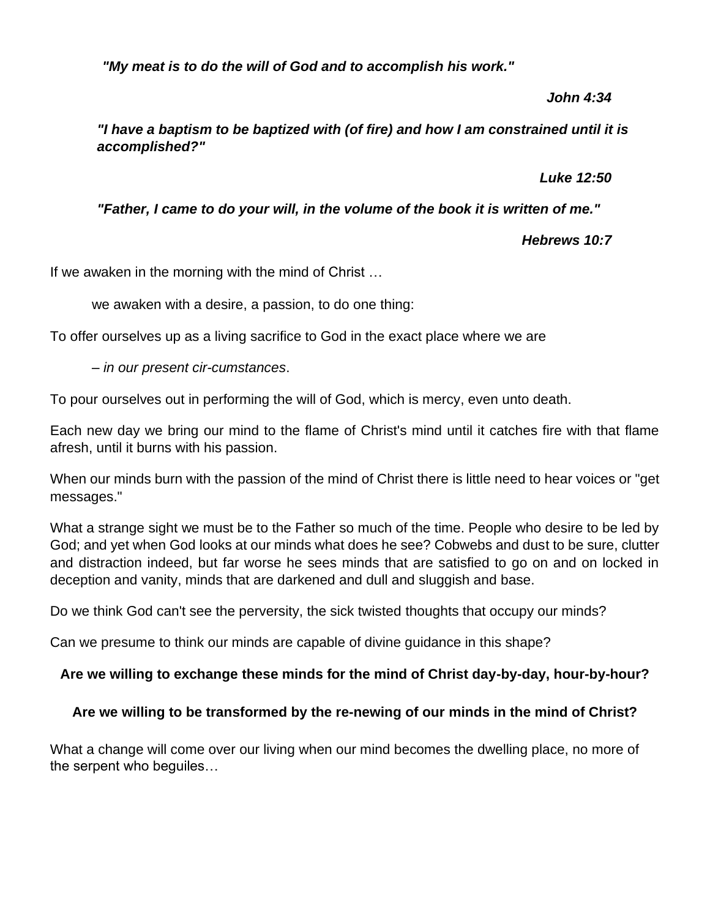*"My meat is to do the will of God and to accomplish his work."*

*John 4:34*

*"I have a baptism to be baptized with (of fire) and how I am constrained until it is accomplished?"* 

*Luke 12:50*

*"Father, I came to do your will, in the volume of the book it is written of me."* 

*Hebrews 10:7*

If we awaken in the morning with the mind of Christ …

we awaken with a desire, a passion, to do one thing:

To offer ourselves up as a living sacrifice to God in the exact place where we are

– *in our present cir-cumstances*.

To pour ourselves out in performing the will of God, which is mercy, even unto death.

Each new day we bring our mind to the flame of Christ's mind until it catches fire with that flame afresh, until it burns with his passion.

When our minds burn with the passion of the mind of Christ there is little need to hear voices or "get messages."

What a strange sight we must be to the Father so much of the time. People who desire to be led by God; and yet when God looks at our minds what does he see? Cobwebs and dust to be sure, clutter and distraction indeed, but far worse he sees minds that are satisfied to go on and on locked in deception and vanity, minds that are darkened and dull and sluggish and base.

Do we think God can't see the perversity, the sick twisted thoughts that occupy our minds?

Can we presume to think our minds are capable of divine guidance in this shape?

#### **Are we willing to exchange these minds for the mind of Christ day-by-day, hour-by-hour?**

#### **Are we willing to be transformed by the re-newing of our minds in the mind of Christ?**

What a change will come over our living when our mind becomes the dwelling place, no more of the serpent who beguiles…